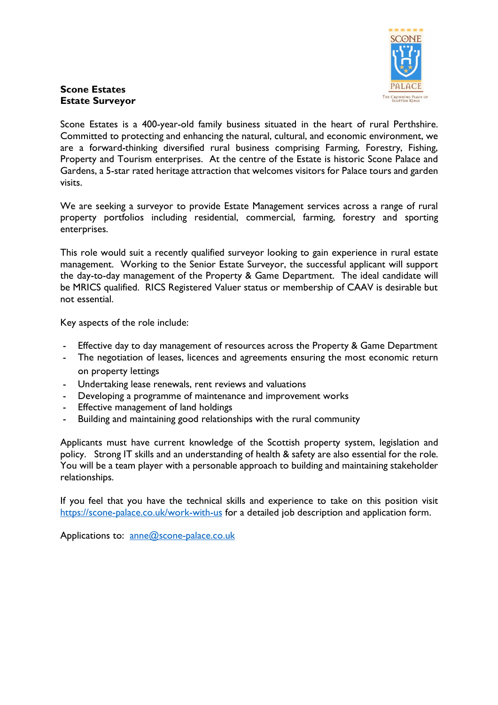

## **Scone Estates Estate Surveyor**

Scone Estates is a 400-year-old family business situated in the heart of rural Perthshire. Committed to protecting and enhancing the natural, cultural, and economic environment, we are a forward-thinking diversified rural business comprising Farming, Forestry, Fishing, Property and Tourism enterprises. At the centre of the Estate is historic Scone Palace and Gardens, a 5-star rated heritage attraction that welcomes visitors for Palace tours and garden visits.

We are seeking a surveyor to provide Estate Management services across a range of rural property portfolios including residential, commercial, farming, forestry and sporting enterprises.

This role would suit a recently qualified surveyor looking to gain experience in rural estate management. Working to the Senior Estate Surveyor, the successful applicant will support the day-to-day management of the Property & Game Department. The ideal candidate will be MRICS qualified. RICS Registered Valuer status or membership of CAAV is desirable but not essential.

Key aspects of the role include:

- Effective day to day management of resources across the Property & Game Department
- The negotiation of leases, licences and agreements ensuring the most economic return on property lettings
- Undertaking lease renewals, rent reviews and valuations
- Developing a programme of maintenance and improvement works
- Effective management of land holdings
- Building and maintaining good relationships with the rural community

Applicants must have current knowledge of the Scottish property system, legislation and policy. Strong IT skills and an understanding of health & safety are also essential for the role. You will be a team player with a personable approach to building and maintaining stakeholder relationships.

If you feel that you have the technical skills and experience to take on this position visit https://scone-palace.co.uk/work-with-us for a detailed job description and application form.

Applications to: anne@scone-palace.co.uk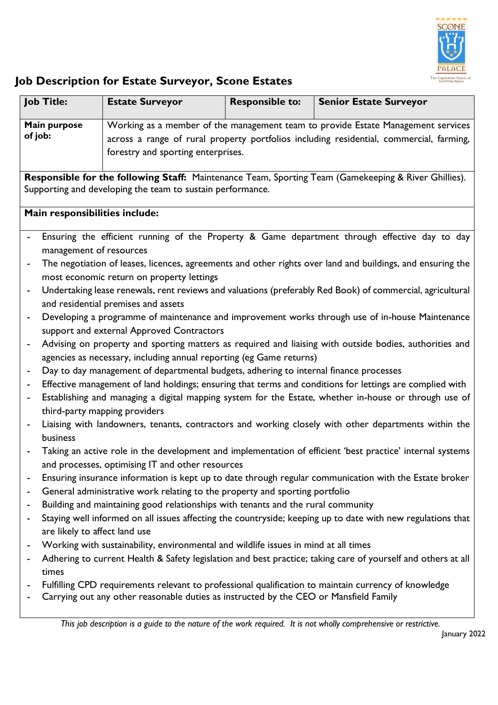

## **Job Description for Estate Surveyor, Scone Estates**

|                                                                                                      | <b>Job Title:</b>                                                                                                                            | <b>Estate Surveyor</b>                                                                  | <b>Responsible to:</b> | <b>Senior Estate Surveyor</b>                                                                                |  |
|------------------------------------------------------------------------------------------------------|----------------------------------------------------------------------------------------------------------------------------------------------|-----------------------------------------------------------------------------------------|------------------------|--------------------------------------------------------------------------------------------------------------|--|
| Main purpose                                                                                         |                                                                                                                                              | Working as a member of the management team to provide Estate Management services        |                        |                                                                                                              |  |
| of job:                                                                                              |                                                                                                                                              | across a range of rural property portfolios including residential, commercial, farming, |                        |                                                                                                              |  |
|                                                                                                      |                                                                                                                                              | forestry and sporting enterprises.                                                      |                        |                                                                                                              |  |
| Responsible for the following Staff: Maintenance Team, Sporting Team (Gamekeeping & River Ghillies). |                                                                                                                                              |                                                                                         |                        |                                                                                                              |  |
| Supporting and developing the team to sustain performance.                                           |                                                                                                                                              |                                                                                         |                        |                                                                                                              |  |
| Main responsibilities include:                                                                       |                                                                                                                                              |                                                                                         |                        |                                                                                                              |  |
|                                                                                                      |                                                                                                                                              |                                                                                         |                        |                                                                                                              |  |
|                                                                                                      | Ensuring the efficient running of the Property & Game department through effective day to day<br>management of resources                     |                                                                                         |                        |                                                                                                              |  |
| $\qquad \qquad \blacksquare$                                                                         |                                                                                                                                              |                                                                                         |                        | The negotiation of leases, licences, agreements and other rights over land and buildings, and ensuring the   |  |
|                                                                                                      |                                                                                                                                              | most economic return on property lettings                                               |                        |                                                                                                              |  |
| $\overline{\phantom{a}}$                                                                             | Undertaking lease renewals, rent reviews and valuations (preferably Red Book) of commercial, agricultural                                    |                                                                                         |                        |                                                                                                              |  |
|                                                                                                      | and residential premises and assets                                                                                                          |                                                                                         |                        |                                                                                                              |  |
| $\overline{\phantom{0}}$                                                                             | Developing a programme of maintenance and improvement works through use of in-house Maintenance<br>support and external Approved Contractors |                                                                                         |                        |                                                                                                              |  |
|                                                                                                      | Advising on property and sporting matters as required and liaising with outside bodies, authorities and                                      |                                                                                         |                        |                                                                                                              |  |
| $\overline{\phantom{a}}$<br>agencies as necessary, including annual reporting (eg Game returns)      |                                                                                                                                              |                                                                                         |                        |                                                                                                              |  |
| $\overline{\phantom{a}}$                                                                             | Day to day management of departmental budgets, adhering to internal finance processes                                                        |                                                                                         |                        |                                                                                                              |  |
| $\overline{\phantom{a}}$                                                                             | Effective management of land holdings; ensuring that terms and conditions for lettings are complied with                                     |                                                                                         |                        |                                                                                                              |  |
| $\overline{\phantom{a}}$                                                                             | Establishing and managing a digital mapping system for the Estate, whether in-house or through use of                                        |                                                                                         |                        |                                                                                                              |  |
|                                                                                                      |                                                                                                                                              | third-party mapping providers                                                           |                        |                                                                                                              |  |
| $\overline{\phantom{a}}$                                                                             |                                                                                                                                              |                                                                                         |                        | Liaising with landowners, tenants, contractors and working closely with other departments within the         |  |
|                                                                                                      | business                                                                                                                                     |                                                                                         |                        |                                                                                                              |  |
|                                                                                                      |                                                                                                                                              | and processes, optimising IT and other resources                                        |                        | Taking an active role in the development and implementation of efficient 'best practice' internal systems    |  |
|                                                                                                      |                                                                                                                                              |                                                                                         |                        | Ensuring insurance information is kept up to date through regular communication with the Estate broker       |  |
|                                                                                                      | General administrative work relating to the property and sporting portfolio                                                                  |                                                                                         |                        |                                                                                                              |  |
| ۰                                                                                                    | Building and maintaining good relationships with tenants and the rural community                                                             |                                                                                         |                        |                                                                                                              |  |
|                                                                                                      | Staying well informed on all issues affecting the countryside; keeping up to date with new regulations that                                  |                                                                                         |                        |                                                                                                              |  |
|                                                                                                      | are likely to affect land use                                                                                                                |                                                                                         |                        |                                                                                                              |  |
| ۰                                                                                                    |                                                                                                                                              | Working with sustainability, environmental and wildlife issues in mind at all times     |                        |                                                                                                              |  |
|                                                                                                      |                                                                                                                                              |                                                                                         |                        | Adhering to current Health & Safety legislation and best practice; taking care of yourself and others at all |  |
|                                                                                                      | times                                                                                                                                        |                                                                                         |                        | Fulfilling CPD requirements relevant to professional qualification to maintain currency of knowledge         |  |
|                                                                                                      |                                                                                                                                              | Carrying out any other reasonable duties as instructed by the CEO or Mansfield Family   |                        |                                                                                                              |  |
|                                                                                                      |                                                                                                                                              |                                                                                         |                        |                                                                                                              |  |

*This job description is a guide to the nature of the work required. It is not wholly comprehensive or restrictive.*